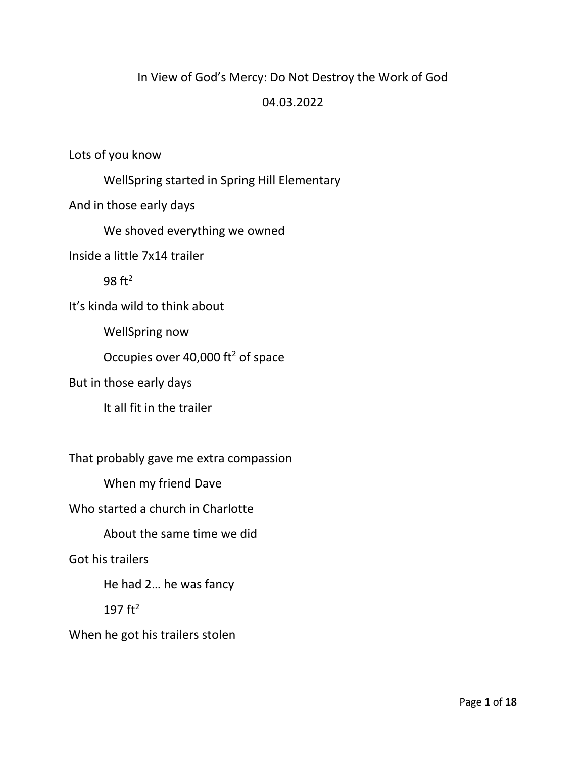## In View of God's Mercy: Do Not Destroy the Work of God

#### 04.03.2022

Lots of you know

WellSpring started in Spring Hill Elementary

And in those early days

We shoved everything we owned

Inside a little 7x14 trailer

98 ft<sup>2</sup>

It's kinda wild to think about

WellSpring now

Occupies over 40,000  $ft^2$  of space

#### But in those early days

It all fit in the trailer

That probably gave me extra compassion

When my friend Dave

Who started a church in Charlotte

About the same time we did

#### Got his trailers

He had 2… he was fancy

197 $ft^2$ 

#### When he got his trailers stolen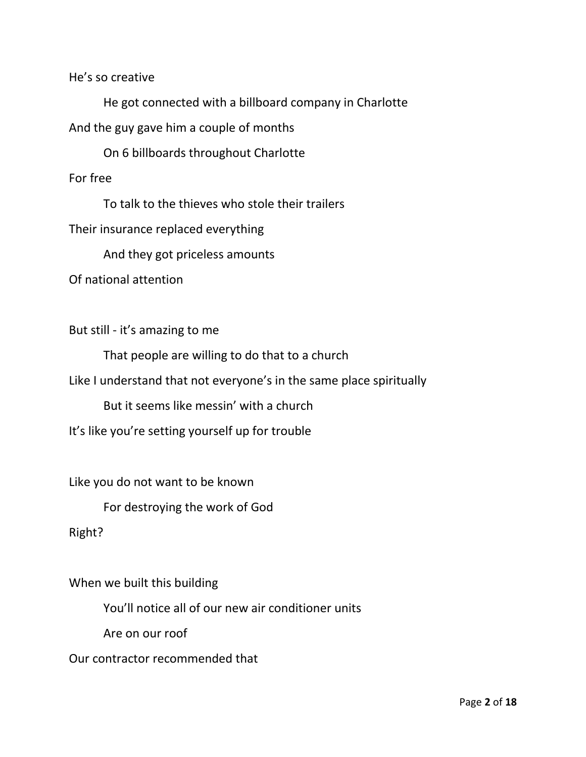He's so creative

He got connected with a billboard company in Charlotte And the guy gave him a couple of months

On 6 billboards throughout Charlotte

For free

To talk to the thieves who stole their trailers

Their insurance replaced everything

And they got priceless amounts

Of national attention

But still - it's amazing to me

That people are willing to do that to a church

Like I understand that not everyone's in the same place spiritually

But it seems like messin' with a church

It's like you're setting yourself up for trouble

Like you do not want to be known

For destroying the work of God

Right?

When we built this building

You'll notice all of our new air conditioner units

Are on our roof

Our contractor recommended that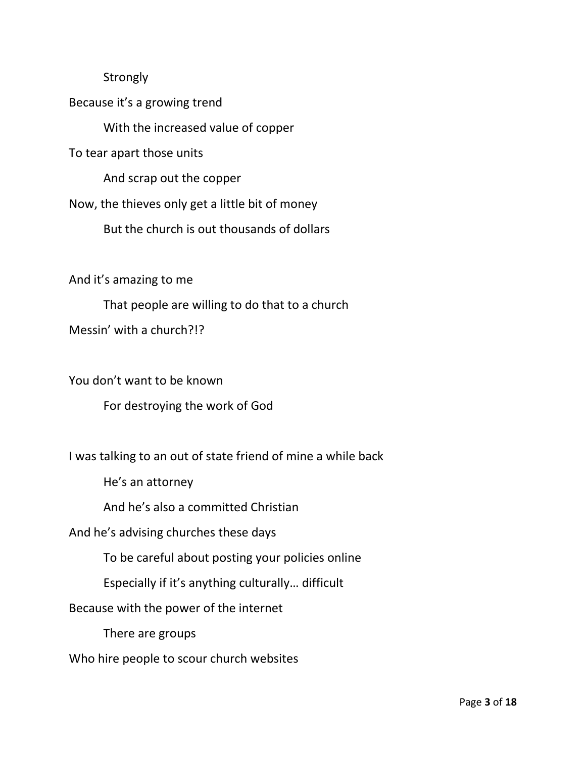#### **Strongly**

Because it's a growing trend

With the increased value of copper

To tear apart those units

And scrap out the copper

Now, the thieves only get a little bit of money

But the church is out thousands of dollars

And it's amazing to me

That people are willing to do that to a church Messin' with a church?!?

You don't want to be known For destroying the work of God

I was talking to an out of state friend of mine a while back

He's an attorney

And he's also a committed Christian

And he's advising churches these days

To be careful about posting your policies online

Especially if it's anything culturally… difficult

Because with the power of the internet

There are groups

Who hire people to scour church websites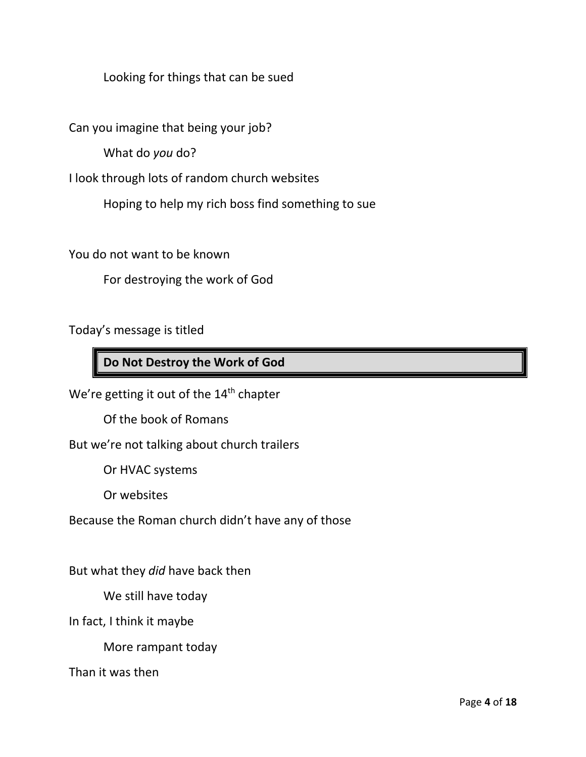Looking for things that can be sued

Can you imagine that being your job?

What do *you* do?

I look through lots of random church websites

Hoping to help my rich boss find something to sue

You do not want to be known

For destroying the work of God

Today's message is titled

# **Do Not Destroy the Work of God**

We're getting it out of the 14<sup>th</sup> chapter

Of the book of Romans

But we're not talking about church trailers

Or HVAC systems

Or websites

Because the Roman church didn't have any of those

But what they *did* have back then

We still have today

In fact, I think it maybe

More rampant today

Than it was then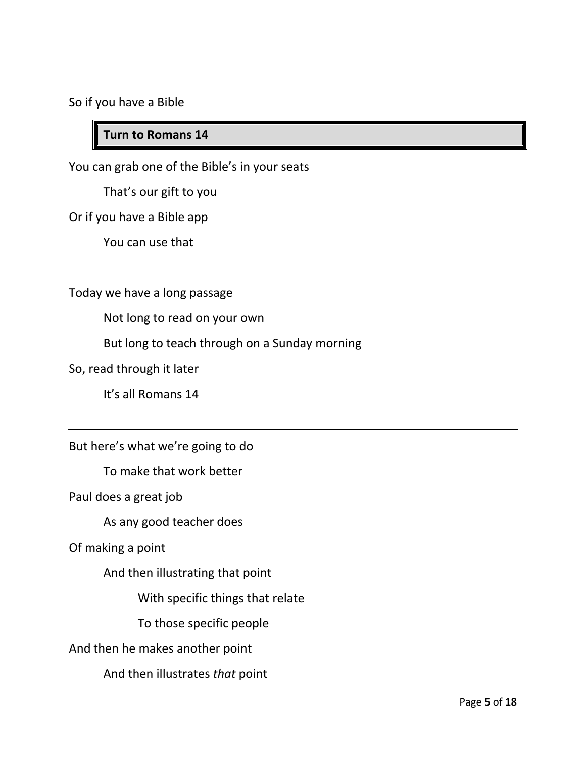So if you have a Bible

## **Turn to Romans 14**

You can grab one of the Bible's in your seats

That's our gift to you

Or if you have a Bible app

You can use that

#### Today we have a long passage

Not long to read on your own

But long to teach through on a Sunday morning

So, read through it later

It's all Romans 14

But here's what we're going to do

To make that work better

Paul does a great job

As any good teacher does

Of making a point

And then illustrating that point

With specific things that relate

To those specific people

And then he makes another point

And then illustrates *that* point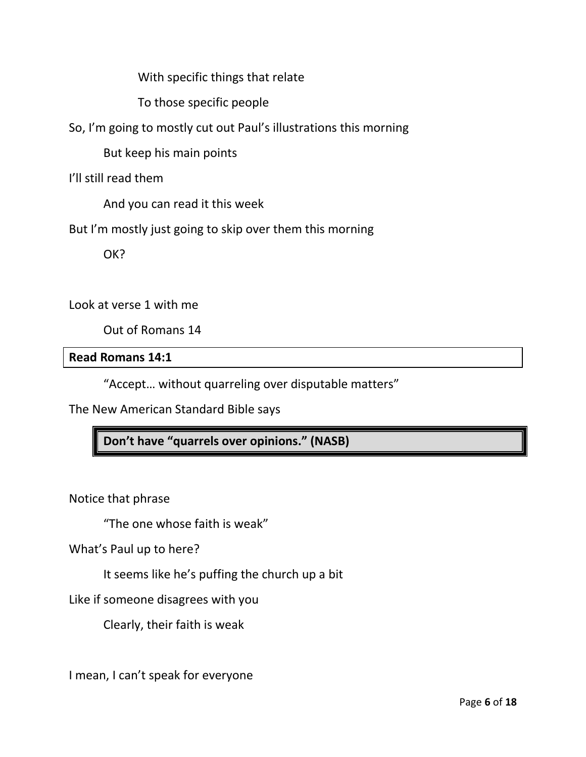With specific things that relate

To those specific people

So, I'm going to mostly cut out Paul's illustrations this morning

But keep his main points

I'll still read them

And you can read it this week

But I'm mostly just going to skip over them this morning

OK?

Look at verse 1 with me

Out of Romans 14

#### **Read Romans 14:1**

"Accept… without quarreling over disputable matters"

The New American Standard Bible says

**Don't have "quarrels over opinions." (NASB)**

Notice that phrase

"The one whose faith is weak"

What's Paul up to here?

It seems like he's puffing the church up a bit

Like if someone disagrees with you

Clearly, their faith is weak

I mean, I can't speak for everyone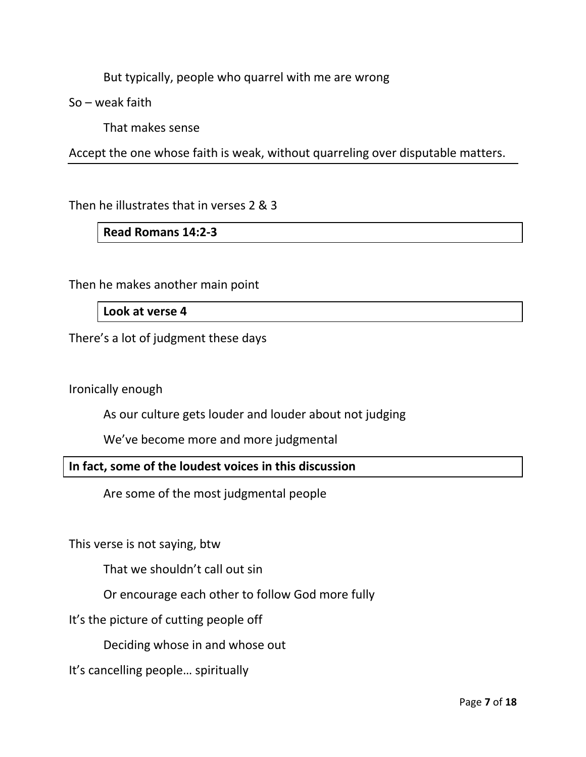But typically, people who quarrel with me are wrong

So – weak faith

That makes sense

Accept the one whose faith is weak, without quarreling over disputable matters.

Then he illustrates that in verses 2 & 3

#### **Read Romans 14:2-3**

Then he makes another main point

#### **Look at verse 4**

There's a lot of judgment these days

Ironically enough

As our culture gets louder and louder about not judging

We've become more and more judgmental

**In fact, some of the loudest voices in this discussion**

Are some of the most judgmental people

This verse is not saying, btw

That we shouldn't call out sin

Or encourage each other to follow God more fully

It's the picture of cutting people off

Deciding whose in and whose out

It's cancelling people… spiritually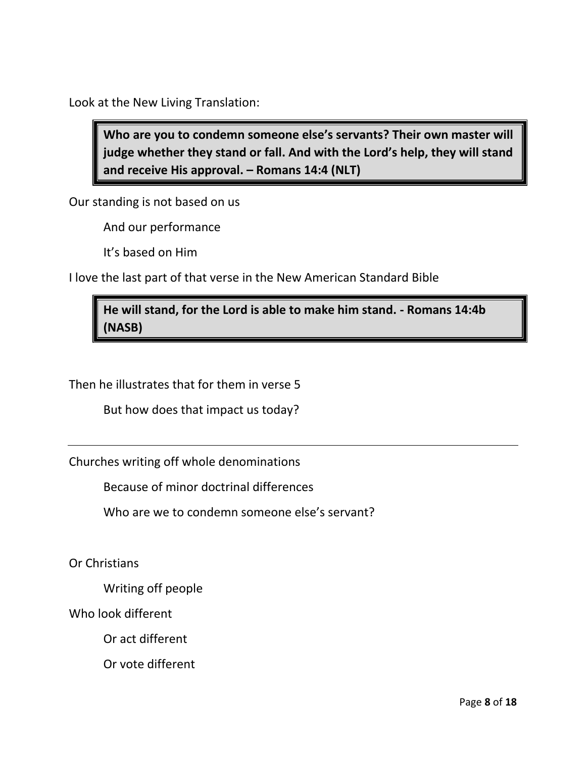Look at the New Living Translation:

**Who are you to condemn someone else's servants? Their own master will judge whether they stand or fall. And with the Lord's help, they will stand and receive His approval. – Romans 14:4 (NLT)**

Our standing is not based on us

And our performance

It's based on Him

I love the last part of that verse in the New American Standard Bible

# **He will stand, for the Lord is able to make him stand. - Romans 14:4b (NASB)**

Then he illustrates that for them in verse 5

But how does that impact us today?

Churches writing off whole denominations

Because of minor doctrinal differences

Who are we to condemn someone else's servant?

Or Christians

Writing off people

Who look different

Or act different

Or vote different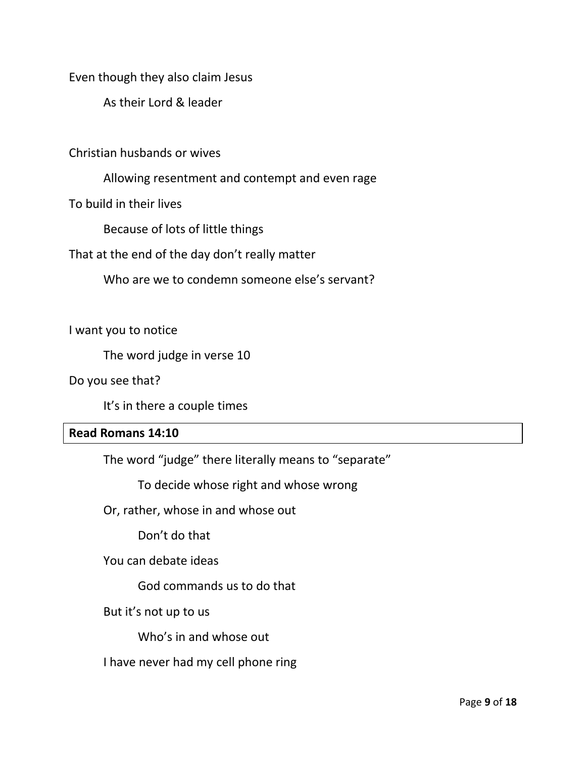Even though they also claim Jesus

As their Lord & leader

Christian husbands or wives

Allowing resentment and contempt and even rage

To build in their lives

Because of lots of little things

That at the end of the day don't really matter

Who are we to condemn someone else's servant?

I want you to notice

The word judge in verse 10

Do you see that?

It's in there a couple times

#### **Read Romans 14:10**

The word "judge" there literally means to "separate"

To decide whose right and whose wrong

Or, rather, whose in and whose out

Don't do that

You can debate ideas

God commands us to do that

But it's not up to us

Who's in and whose out

I have never had my cell phone ring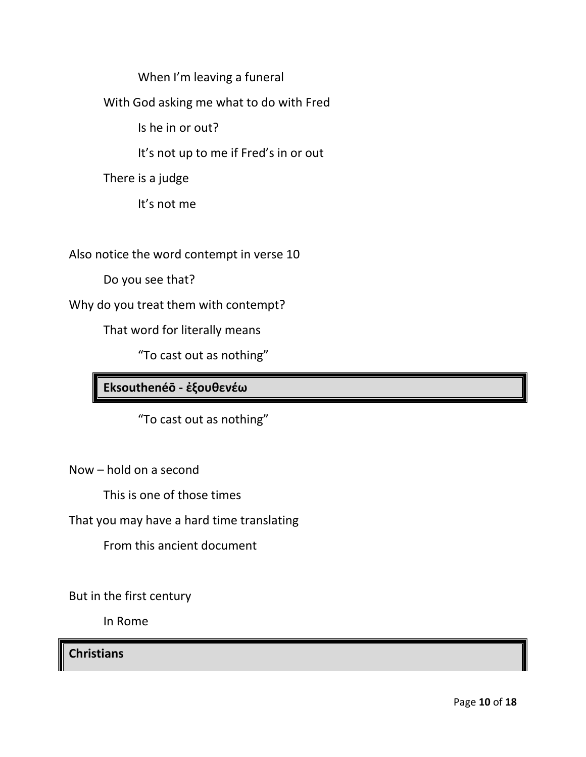When I'm leaving a funeral

With God asking me what to do with Fred

Is he in or out?

It's not up to me if Fred's in or out

There is a judge

It's not me

Also notice the word contempt in verse 10

Do you see that?

Why do you treat them with contempt?

That word for literally means

"To cast out as nothing"

**Eksouthenéō - ἐξουθενέω**

"To cast out as nothing"

Now – hold on a second

This is one of those times

That you may have a hard time translating

From this ancient document

But in the first century

In Rome

**Christians**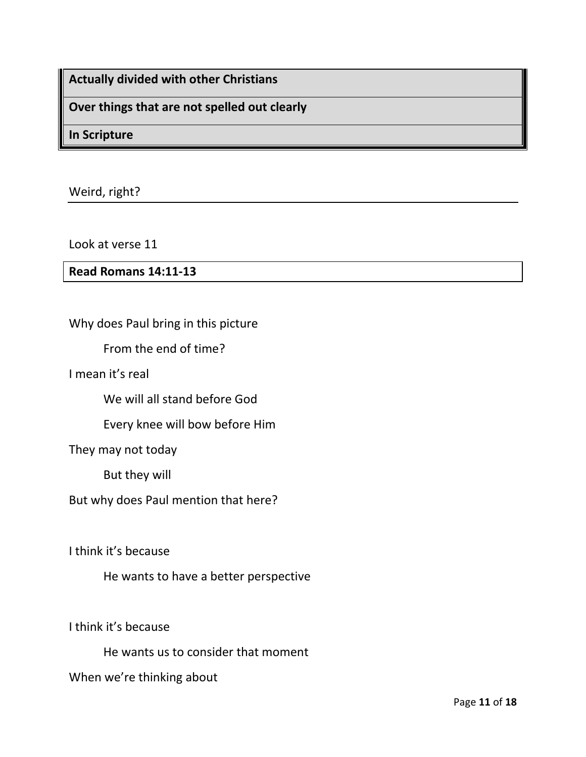**Actually divided with other Christians**

**Over things that are not spelled out clearly**

**In Scripture**

Weird, right?

Look at verse 11

**Read Romans 14:11-13**

Why does Paul bring in this picture

From the end of time?

I mean it's real

We will all stand before God

Every knee will bow before Him

They may not today

But they will

But why does Paul mention that here?

I think it's because

He wants to have a better perspective

I think it's because

He wants us to consider that moment

When we're thinking about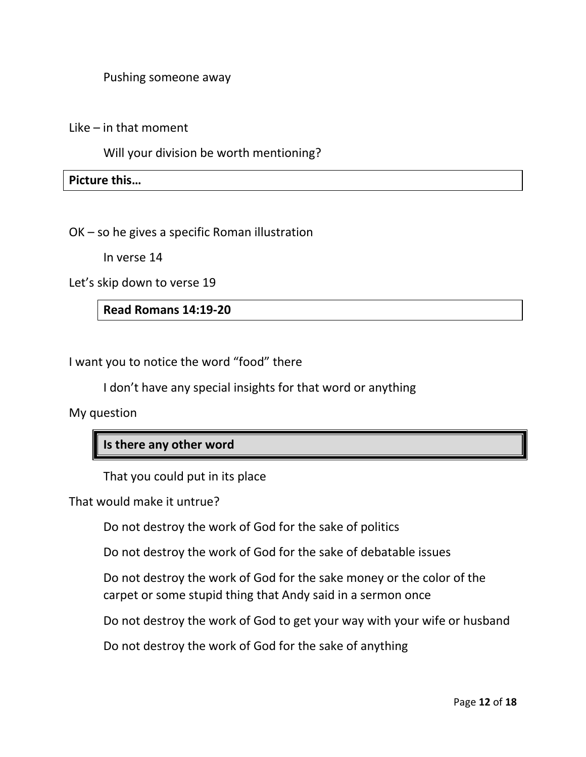Pushing someone away

Like – in that moment

Will your division be worth mentioning?

**Picture this…**

OK – so he gives a specific Roman illustration

In verse 14

Let's skip down to verse 19

**Read Romans 14:19-20**

I want you to notice the word "food" there

I don't have any special insights for that word or anything

My question

## **Is there any other word**

That you could put in its place

That would make it untrue?

Do not destroy the work of God for the sake of politics

Do not destroy the work of God for the sake of debatable issues

Do not destroy the work of God for the sake money or the color of the carpet or some stupid thing that Andy said in a sermon once

Do not destroy the work of God to get your way with your wife or husband

Do not destroy the work of God for the sake of anything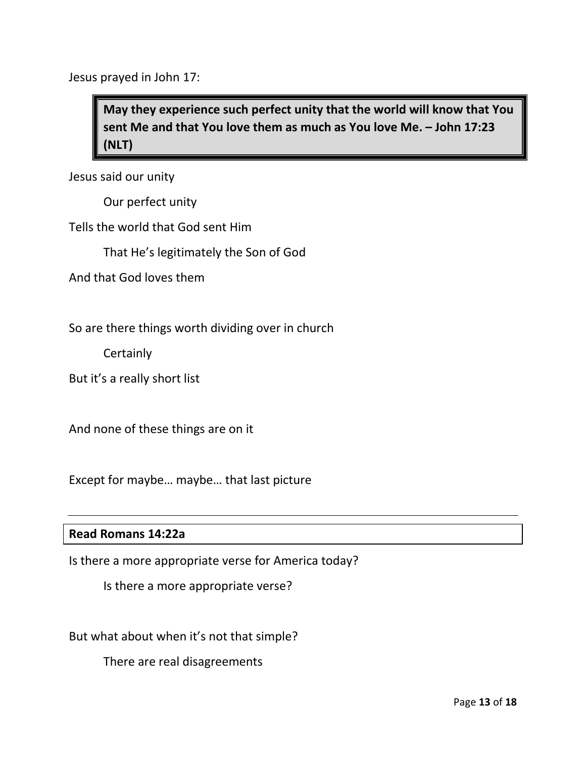Jesus prayed in John 17:

**May they experience such perfect unity that the world will know that You sent Me and that You love them as much as You love Me. – John 17:23 (NLT)**

Jesus said our unity

Our perfect unity

Tells the world that God sent Him

That He's legitimately the Son of God

And that God loves them

So are there things worth dividing over in church

**Certainly** 

But it's a really short list

And none of these things are on it

Except for maybe… maybe… that last picture

#### **Read Romans 14:22a**

Is there a more appropriate verse for America today?

Is there a more appropriate verse?

But what about when it's not that simple?

There are real disagreements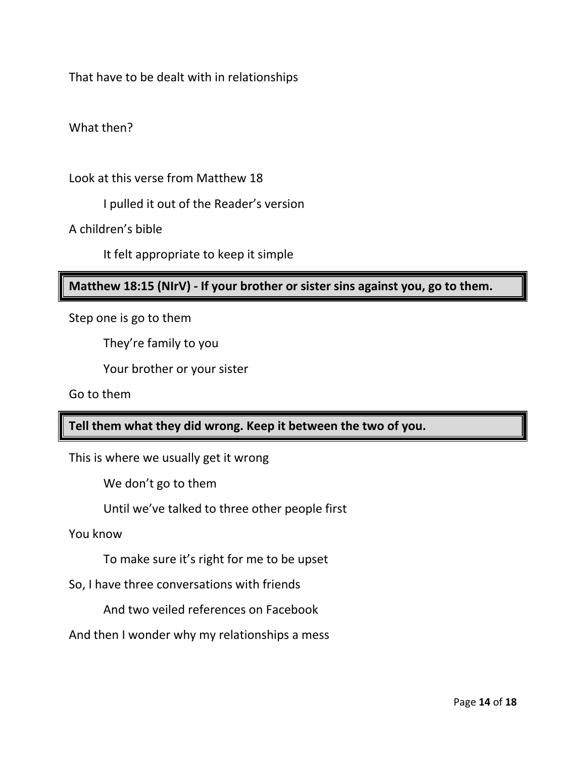That have to be dealt with in relationships

What then?

Look at this verse from Matthew 18

I pulled it out of the Reader's version

A children's bible

It felt appropriate to keep it simple

## **Matthew 18:15 (NIrV) - If your brother or sister sins against you, go to them.**

Step one is go to them

They're family to you

Your brother or your sister

Go to them

## **Tell them what they did wrong. Keep it between the two of you.**

This is where we usually get it wrong

We don't go to them

Until we've talked to three other people first

You know

To make sure it's right for me to be upset

So, I have three conversations with friends

And two veiled references on Facebook

And then I wonder why my relationships a mess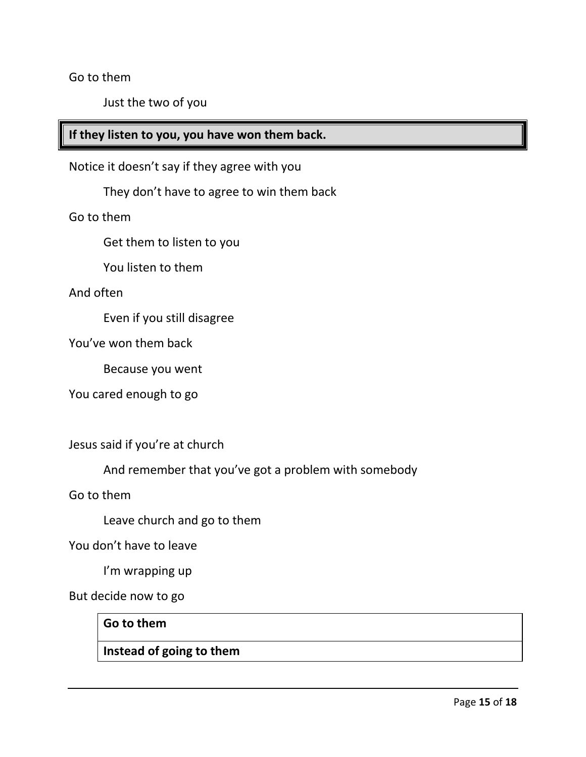Go to them

Just the two of you

# **If they listen to you, you have won them back.**

Notice it doesn't say if they agree with you

They don't have to agree to win them back

Go to them

Get them to listen to you

You listen to them

And often

Even if you still disagree

You've won them back

Because you went

You cared enough to go

Jesus said if you're at church

And remember that you've got a problem with somebody

Go to them

Leave church and go to them

You don't have to leave

I'm wrapping up

But decide now to go

#### **Go to them**

## **Instead of going to them**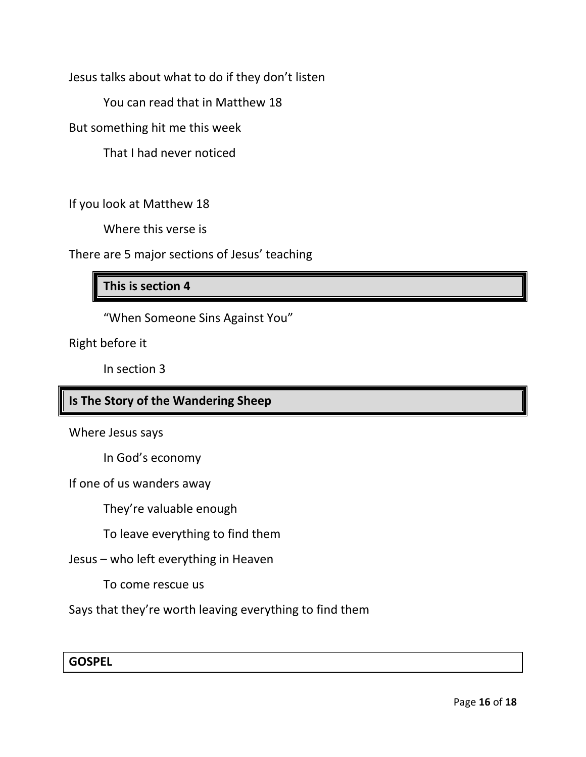Jesus talks about what to do if they don't listen

You can read that in Matthew 18

But something hit me this week

That I had never noticed

If you look at Matthew 18

Where this verse is

There are 5 major sections of Jesus' teaching

## **This is section 4**

"When Someone Sins Against You"

Right before it

In section 3

## **Is The Story of the Wandering Sheep**

Where Jesus says

In God's economy

If one of us wanders away

They're valuable enough

To leave everything to find them

Jesus – who left everything in Heaven

To come rescue us

Says that they're worth leaving everything to find them

**GOSPEL**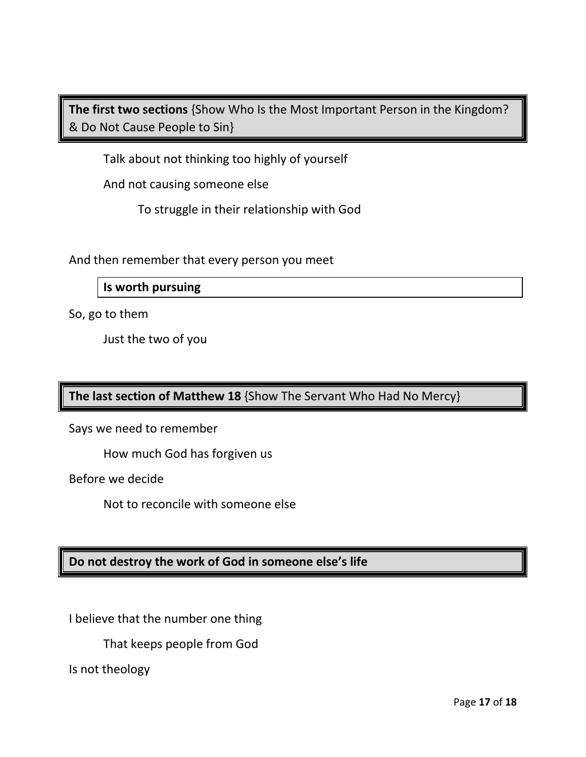**The first two sections** {Show Who Is the Most Important Person in the Kingdom? & Do Not Cause People to Sin}

Talk about not thinking too highly of yourself

And not causing someone else

To struggle in their relationship with God

And then remember that every person you meet

**Is worth pursuing**

So, go to them

Just the two of you

**The last section of Matthew 18** {Show The Servant Who Had No Mercy}

Says we need to remember

How much God has forgiven us

Before we decide

Not to reconcile with someone else

## **Do not destroy the work of God in someone else's life**

I believe that the number one thing

That keeps people from God

Is not theology